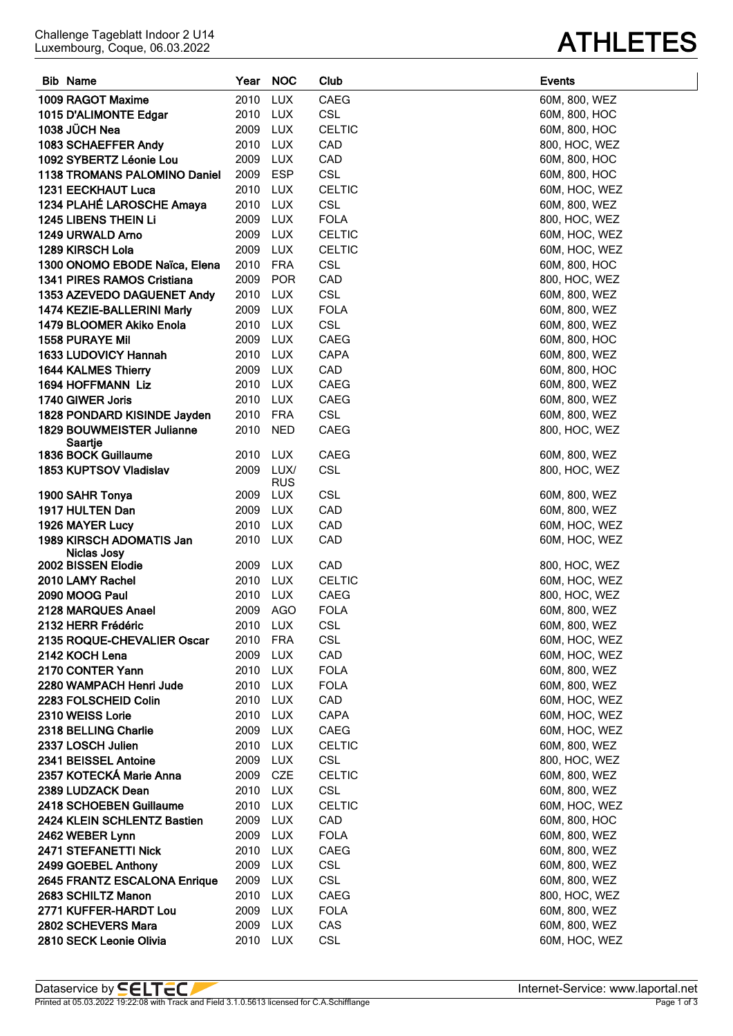| <b>Bib Name</b>                     | Year     | <b>NOC</b>         | Club          | <b>Events</b> |
|-------------------------------------|----------|--------------------|---------------|---------------|
| 1009 RAGOT Maxime                   | 2010     | <b>LUX</b>         | CAEG          | 60M, 800, WEZ |
| 1015 D'ALIMONTE Edgar               | 2010 LUX |                    | <b>CSL</b>    | 60M, 800, HOC |
| 1038 JÜCH Nea                       | 2009 LUX |                    | <b>CELTIC</b> | 60M, 800, HOC |
| 1083 SCHAEFFER Andy                 | 2010     | LUX                | CAD           | 800, HOC, WEZ |
| 1092 SYBERTZ Léonie Lou             | 2009     | LUX                | CAD           | 60M, 800, HOC |
| <b>1138 TROMANS PALOMINO Daniel</b> | 2009 ESP |                    | <b>CSL</b>    | 60M, 800, HOC |
| 1231 EECKHAUT Luca                  | 2010 LUX |                    | <b>CELTIC</b> | 60M, HOC, WEZ |
| 1234 PLAHÉ LAROSCHE Amaya           | 2010 LUX |                    | <b>CSL</b>    | 60M, 800, WEZ |
| <b>1245 LIBENS THEIN LI</b>         | 2009 LUX |                    | <b>FOLA</b>   | 800, HOC, WEZ |
| 1249 URWALD Arno                    | 2009 LUX |                    | <b>CELTIC</b> | 60M, HOC, WEZ |
| 1289 KIRSCH Lola                    | 2009 LUX |                    | <b>CELTIC</b> | 60M, HOC, WEZ |
| 1300 ONOMO EBODE Naïca, Elena       | 2010     | FRA                | <b>CSL</b>    | 60M, 800, HOC |
| 1341 PIRES RAMOS Cristiana          | 2009     | POR                | CAD           | 800, HOC, WEZ |
| 1353 AZEVEDO DAGUENET Andy          | 2010     | LUX                | <b>CSL</b>    | 60M, 800, WEZ |
| 1474 KEZIE-BALLERINI Marly          | 2009     | LUX                | <b>FOLA</b>   | 60M, 800, WEZ |
| 1479 BLOOMER Akiko Enola            | 2010     | LUX                | <b>CSL</b>    | 60M, 800, WEZ |
| <b>1558 PURAYE Mil</b>              | 2009 LUX |                    | <b>CAEG</b>   | 60M, 800, HOC |
| 1633 LUDOVICY Hannah                | 2010     | LUX                | CAPA          | 60M, 800, WEZ |
| 1644 KALMES Thierry                 | 2009     | LUX                | CAD           | 60M, 800, HOC |
| 1694 HOFFMANN Liz                   | 2010 LUX |                    | <b>CAEG</b>   | 60M, 800, WEZ |
| 1740 GIWER Joris                    | 2010 LUX |                    | <b>CAEG</b>   | 60M, 800, WEZ |
| 1828 PONDARD KISINDE Jayden         | 2010 FRA |                    | <b>CSL</b>    | 60M, 800, WEZ |
| <b>1829 BOUWMEISTER Julianne</b>    | 2010     | <b>NED</b>         | <b>CAEG</b>   | 800, HOC, WEZ |
| Saartje                             |          |                    |               |               |
| 1836 BOCK Guillaume                 | 2010     | LUX                | <b>CAEG</b>   | 60M, 800, WEZ |
| 1853 KUPTSOV Vladislav              | 2009     | LUX/<br><b>RUS</b> | <b>CSL</b>    | 800, HOC, WEZ |
| 1900 SAHR Tonya                     | 2009     | LUX                | <b>CSL</b>    | 60M, 800, WEZ |
| 1917 HULTEN Dan                     | 2009 LUX |                    | CAD           | 60M, 800, WEZ |
| 1926 MAYER Lucy                     | 2010 LUX |                    | CAD           | 60M, HOC, WEZ |
| 1989 KIRSCH ADOMATIS Jan            | 2010 LUX |                    | CAD           | 60M, HOC, WEZ |
| Niclas Josy                         |          |                    |               |               |
| 2002 BISSEN Elodie                  | 2009     | <b>LUX</b>         | CAD           | 800, HOC, WEZ |
| 2010 LAMY Rachel                    | 2010 LUX |                    | <b>CELTIC</b> | 60M, HOC, WEZ |
| 2090 MOOG Paul                      | 2010 LUX |                    | <b>CAEG</b>   | 800, HOC, WEZ |
| 2128 MARQUES Anael                  | 2009 AGO |                    | <b>FOLA</b>   | 60M, 800, WEZ |
| 2132 HERR Frédéric                  | 2010 LUX |                    | <b>CSL</b>    | 60M, 800, WEZ |
| 2135 ROQUE-CHEVALIER Oscar          | 2010 FRA |                    | <b>CSL</b>    | 60M, HOC, WEZ |
| 2142 KOCH Lena                      | 2009 LUX |                    | CAD           | 60M, HOC, WEZ |
| 2170 CONTER Yann                    | 2010 LUX |                    | <b>FOLA</b>   | 60M, 800, WEZ |
| 2280 WAMPACH Henri Jude             | 2010 LUX |                    | <b>FOLA</b>   | 60M, 800, WEZ |
| 2283 FOLSCHEID Colin                | 2010 LUX |                    | CAD           | 60M, HOC, WEZ |
| 2310 WEISS Lorie                    | 2010     | LUX                | CAPA          | 60M, HOC, WEZ |
| 2318 BELLING Charlie                | 2009 LUX |                    | CAEG          | 60M, HOC, WEZ |
| 2337 LOSCH Julien                   | 2010     | LUX                | <b>CELTIC</b> | 60M, 800, WEZ |
| 2341 BEISSEL Antoine                | 2009 LUX |                    | CSL           | 800, HOC, WEZ |
| 2357 KOTECKÁ Marie Anna             | 2009 CZE |                    | <b>CELTIC</b> | 60M, 800, WEZ |
| 2389 LUDZACK Dean                   | 2010     | LUX                | CSL           | 60M, 800, WEZ |
| 2418 SCHOEBEN Guillaume             | 2010     | LUX                | <b>CELTIC</b> | 60M, HOC, WEZ |
| 2424 KLEIN SCHLENTZ Bastien         | 2009     | LUX                | CAD           | 60M, 800, HOC |
| 2462 WEBER Lynn                     | 2009     | LUX                | <b>FOLA</b>   | 60M, 800, WEZ |
| 2471 STEFANETTI Nick                | 2010 LUX |                    | CAEG          | 60M, 800, WEZ |
| 2499 GOEBEL Anthony                 | 2009     | LUX                | <b>CSL</b>    | 60M, 800, WEZ |
| 2645 FRANTZ ESCALONA Enrique        | 2009 LUX |                    | <b>CSL</b>    | 60M, 800, WEZ |
| 2683 SCHILTZ Manon                  | 2010 LUX |                    | CAEG          | 800, HOC, WEZ |
| 2771 KUFFER-HARDT Lou               | 2009 LUX |                    | <b>FOLA</b>   | 60M, 800, WEZ |

**2802 SCHEVERS Mara** 2009 LUX CAS **CAS** 60M, 800, WEZ **2810 SECK Leonie Olivia** 2010 LUX CSL **CSL** 60M, HOC, WEZ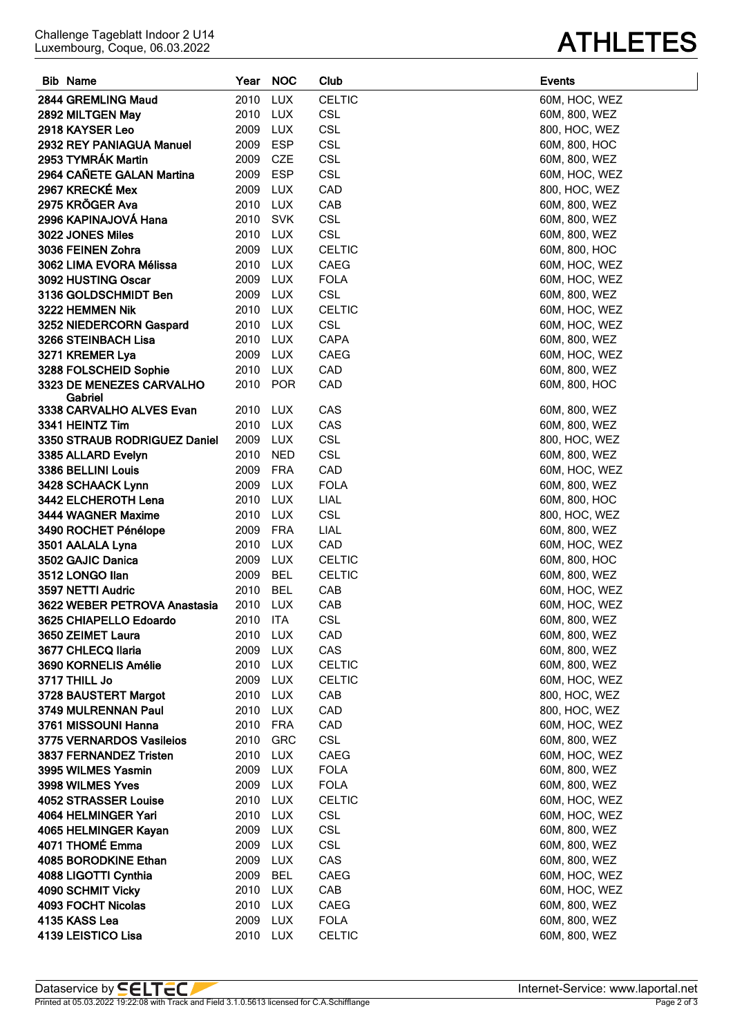|  | LICL |                                                                 |
|--|------|-----------------------------------------------------------------|
|  |      | 08 with Track and Field 3.1.0.5613 licensed for C.A.Schifflange |

**LEISTICO Lisa** 2010 LUX CELTIC 60M, 800, WEZ

| 2918 KAYSER Leo              | 2009     | <b>LUX</b> | CSL           | 800, HOC, WEZ |
|------------------------------|----------|------------|---------------|---------------|
| 2932 REY PANIAGUA Manuel     | 2009     | <b>ESP</b> | <b>CSL</b>    | 60M, 800, HOC |
| 2953 TYMRÁK Martin           | 2009     | CZE        | <b>CSL</b>    | 60M, 800, WEZ |
| 2964 CAÑETE GALAN Martina    | 2009     | <b>ESP</b> | <b>CSL</b>    | 60M, HOC, WEZ |
| 2967 KRECKÉ Mex              | 2009     | <b>LUX</b> | CAD           | 800, HOC, WEZ |
| 2975 KRÖGER Ava              | 2010     | <b>LUX</b> | CAB           | 60M, 800, WEZ |
| 2996 KAPINAJOVÁ Hana         | 2010     | <b>SVK</b> | <b>CSL</b>    | 60M, 800, WEZ |
| 3022 JONES Miles             | 2010     | <b>LUX</b> | <b>CSL</b>    | 60M, 800, WEZ |
| 3036 FEINEN Zohra            | 2009     | <b>LUX</b> | <b>CELTIC</b> | 60M, 800, HOC |
| 3062 LIMA EVORA Mélissa      | 2010     | <b>LUX</b> | CAEG          | 60M, HOC, WEZ |
| 3092 HUSTING Oscar           | 2009     | <b>LUX</b> | <b>FOLA</b>   | 60M, HOC, WEZ |
| 3136 GOLDSCHMIDT Ben         | 2009     | <b>LUX</b> | <b>CSL</b>    | 60M, 800, WEZ |
| 3222 HEMMEN Nik              | 2010     | <b>LUX</b> | <b>CELTIC</b> | 60M, HOC, WEZ |
| 3252 NIEDERCORN Gaspard      | 2010     | <b>LUX</b> | <b>CSL</b>    | 60M, HOC, WEZ |
| 3266 STEINBACH Lisa          | 2010     | <b>LUX</b> | CAPA          | 60M, 800, WEZ |
| 3271 KREMER Lya              | 2009     | <b>LUX</b> | CAEG          | 60M, HOC, WEZ |
| 3288 FOLSCHEID Sophie        | 2010     | <b>LUX</b> | CAD           | 60M, 800, WEZ |
| 3323 DE MENEZES CARVALHO     | 2010     | <b>POR</b> | CAD           | 60M, 800, HOC |
| Gabriel                      |          |            |               |               |
| 3338 CARVALHO ALVES Evan     | 2010     | <b>LUX</b> | CAS           | 60M, 800, WEZ |
| 3341 HEINTZ Tim              | 2010     | <b>LUX</b> | CAS           | 60M, 800, WEZ |
| 3350 STRAUB RODRIGUEZ Daniel | 2009     | <b>LUX</b> | <b>CSL</b>    | 800, HOC, WEZ |
| 3385 ALLARD Evelyn           | 2010     | <b>NED</b> | <b>CSL</b>    | 60M, 800, WEZ |
| 3386 BELLINI Louis           | 2009     | <b>FRA</b> | CAD           | 60M, HOC, WEZ |
| 3428 SCHAACK Lynn            | 2009     | <b>LUX</b> | <b>FOLA</b>   | 60M, 800, WEZ |
| 3442 ELCHEROTH Lena          | 2010     | <b>LUX</b> | LIAL          | 60M, 800, HOC |
| 3444 WAGNER Maxime           | 2010     | <b>LUX</b> | <b>CSL</b>    | 800, HOC, WEZ |
| 3490 ROCHET Pénélope         | 2009     | <b>FRA</b> | LIAL          | 60M, 800, WEZ |
| 3501 AALALA Lyna             | 2010     | <b>LUX</b> | CAD           | 60M, HOC, WEZ |
| 3502 GAJIC Danica            | 2009     | <b>LUX</b> | <b>CELTIC</b> | 60M, 800, HOC |
| 3512 LONGO Ilan              | 2009     | <b>BEL</b> | <b>CELTIC</b> | 60M, 800, WEZ |
| 3597 NETTI Audric            | 2010     | <b>BEL</b> | CAB           | 60M, HOC, WEZ |
| 3622 WEBER PETROVA Anastasia | 2010     | <b>LUX</b> | CAB           | 60M, HOC, WEZ |
| 3625 CHIAPELLO Edoardo       | 2010     | <b>ITA</b> | <b>CSL</b>    | 60M, 800, WEZ |
| 3650 ZEIMET Laura            | 2010     | <b>LUX</b> | CAD           | 60M, 800, WEZ |
| 3677 CHLECQ Ilaria           | 2009     | <b>LUX</b> | CAS           | 60M, 800, WEZ |
| 3690 KORNELIS Amélie         | 2010     | <b>LUX</b> | <b>CELTIC</b> | 60M, 800, WEZ |
| 3717 THILL Jo                | 2009     | <b>LUX</b> | <b>CELTIC</b> | 60M, HOC, WEZ |
| 3728 BAUSTERT Margot         | 2010     | <b>LUX</b> | CAB           | 800, HOC, WEZ |
| 3749 MULRENNAN Paul          | 2010     | <b>LUX</b> | CAD           | 800, HOC, WEZ |
| 3761 MISSOUNI Hanna          | 2010     | <b>FRA</b> | CAD           | 60M, HOC, WEZ |
| 3775 VERNARDOS Vasileios     | 2010     | GRC        | <b>CSL</b>    | 60M, 800, WEZ |
| 3837 FERNANDEZ Tristen       | 2010     | <b>LUX</b> | CAEG          | 60M, HOC, WEZ |
| 3995 WILMES Yasmin           | 2009     | LUX        | <b>FOLA</b>   | 60M, 800, WEZ |
| 3998 WILMES Yves             | 2009     | <b>LUX</b> | <b>FOLA</b>   | 60M, 800, WEZ |
| <b>4052 STRASSER Louise</b>  | 2010     | <b>LUX</b> | <b>CELTIC</b> | 60M, HOC, WEZ |
| 4064 HELMINGER Yari          | 2010     | <b>LUX</b> | <b>CSL</b>    | 60M, HOC, WEZ |
| 4065 HELMINGER Kayan         | 2009     | <b>LUX</b> | <b>CSL</b>    | 60M, 800, WEZ |
| 4071 THOMÉ Emma              | 2009     | <b>LUX</b> | <b>CSL</b>    | 60M, 800, WEZ |
| 4085 BORODKINE Ethan         | 2009     | <b>LUX</b> | CAS           | 60M, 800, WEZ |
| 4088 LIGOTTI Cynthia         | 2009     | <b>BEL</b> | CAEG          | 60M, HOC, WEZ |
| 4090 SCHMIT Vicky            | 2010     | <b>LUX</b> | CAB           | 60M, HOC, WEZ |
| 4093 FOCHT Nicolas           | 2010     | <b>LUX</b> | CAEG          | 60M, 800, WEZ |
| 4135 KASS Lea                | 2009 LUX |            | <b>FOLA</b>   | 60M, 800, WEZ |

**Bib Name Year NOC Club Events**

**2844 GREMLING Maud** 2010 LUX CELTIC **1996 100 CM, HOC, WEZ 2892 MILTGEN May** 2010 LUX CSL **CSL** 60M, 800, WEZ